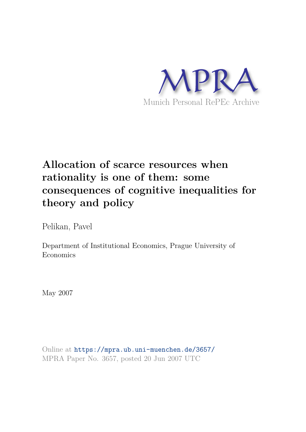

# **Allocation of scarce resources when rationality is one of them: some consequences of cognitive inequalities for theory and policy**

Pelikan, Pavel

Department of Institutional Economics, Prague University of Economics

May 2007

Online at https://mpra.ub.uni-muenchen.de/3657/ MPRA Paper No. 3657, posted 20 Jun 2007 UTC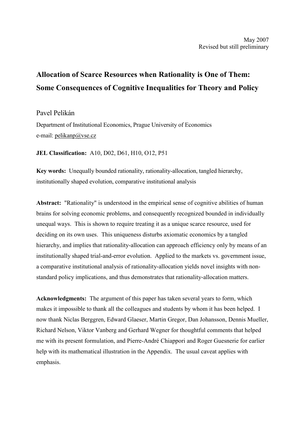# **Allocation of Scarce Resources when Rationality is One of Them:** Some Consequences of Cognitive Inequalities for Theory and Policy

# Pavel Pelikán

Department of Institutional Economics, Prague University of Economics e-mail: pelikanp@yse.cz

JEL Classification: A10, D02, D61, H10, O12, P51

Key words: Unequally bounded rationality, rationality-allocation, tangled hierarchy, institutionally shaped evolution, comparative institutional analysis

**Abstract:** "Rationality" is understood in the empirical sense of cognitive abilities of human brains for solving economic problems, and consequently recognized bounded in individually unequal ways. This is shown to require treating it as a unique scarce resource, used for deciding on its own uses. This uniqueness disturbs axiomatic economics by a tangled hierarchy, and implies that rationality-allocation can approach efficiency only by means of an institutionally shaped trial-and-error evolution. Applied to the markets vs. government issue, a comparative institutional analysis of rationality-allocation yields novel insights with nonstandard policy implications, and thus demonstrates that rationality-allocation matters.

**Acknowledgments:** The argument of this paper has taken several years to form, which makes it impossible to thank all the colleagues and students by whom it has been helped. I now thank Niclas Berggren, Edward Glaeser, Martin Gregor, Dan Johansson, Dennis Mueller, Richard Nelson, Viktor Vanberg and Gerhard Wegner for thoughtful comments that helped me with its present formulation, and Pierre-André Chiappori and Roger Guesnerie for earlier help with its mathematical illustration in the Appendix. The usual caveat applies with emphasis.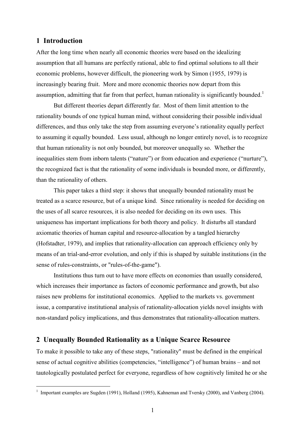# 1 Introduction

After the long time when nearly all economic theories were based on the idealizing assumption that all humans are perfectly rational, able to find optimal solutions to all their economic problems, however difficult, the pioneering work by Simon (1955, 1979) is increasingly bearing fruit. More and more economic theories now depart from this assumption, admitting that far from that perfect, human rationality is significantly bounded.<sup>1</sup>

But different theories depart differently far. Most of them limit attention to the rationality bounds of one typical human mind, without considering their possible individual differences, and thus only take the step from assuming everyone's rationality equally perfect to assuming it equally bounded. Less usual, although no longer entirely novel, is to recognize that human rationality is not only bounded, but moreover unequally so. Whether the inequalities stem from inborn talents ("nature") or from education and experience ("nurture"), the recognized fact is that the rationality of some individuals is bounded more, or differently, than the rationality of others.

This paper takes a third step: it shows that unequally bounded rationality must be treated as a scarce resource, but of a unique kind. Since rationality is needed for deciding on the uses of all scarce resources, it is also needed for deciding on its own uses. This uniqueness has important implications for both theory and policy. It disturbs all standard axiomatic theories of human capital and resource-allocation by a tangled hierarchy (Hofstadter, 1979), and implies that rationality-allocation can approach efficiency only by means of an trial-and-error evolution, and only if this is shaped by suitable institutions (in the sense of rules-constraints, or "rules-of-the-game").

Institutions thus turn out to have more effects on economies than usually considered, which increases their importance as factors of economic performance and growth, but also raises new problems for institutional economics. Applied to the markets vs. government issue, a comparative institutional analysis of rationality-allocation yields novel insights with non-standard policy implications, and thus demonstrates that rationality-allocation matters.

# 2 Unequally Bounded Rationality as a Unique Scarce Resource

To make it possible to take any of these steps, "rationality" must be defined in the empirical sense of actual cognitive abilities (competencies, "intelligence") of human brains – and not tautologically postulated perfect for everyone, regardless of how cognitively limited he or she

<sup>&</sup>lt;sup>1</sup> Important examples are Sugden (1991), Holland (1995), Kahneman and Tversky (2000), and Vanberg (2004).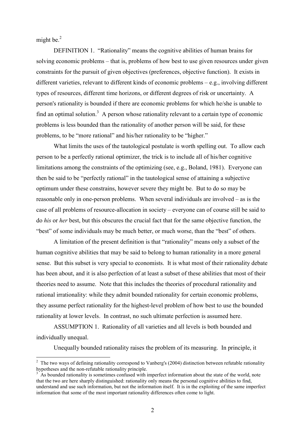might be. $^{2}$ 

DEFINITION 1. "Rationality" means the cognitive abilities of human brains for solving economic problems – that is, problems of how best to use given resources under given constraints for the pursuit of given objectives (preferences, objective function). It exists in different varieties, relevant to different kinds of economic problems  $-$  e.g., involving different types of resources, different time horizons, or different degrees of risk or uncertainty. A person's rationality is bounded if there are economic problems for which he/she is unable to find an optimal solution.<sup>3</sup> A person whose rationality relevant to a certain type of economic problems is less bounded than the rationality of another person will be said, for these problems, to be "more rational" and his/her rationality to be "higher."

What limits the uses of the tautological postulate is worth spelling out. To allow each person to be a perfectly rational optimizer, the trick is to include all of his/her cognitive limitations among the constraints of the optimizing (see, e.g., Boland, 1981). Everyone can then be said to be "perfectly rational" in the tautological sense of attaining a subjective optimum under these constrains, however severe they might be. But to do so may be reasonable only in one-person problems. When several individuals are involved  $-$  as is the case of all problems of resource-allocation in society – everyone can of course still be said to do his or her best, but this obscures the crucial fact that for the same objective function, the "best" of some individuals may be much better, or much worse, than the "best" of others.

A limitation of the present definition is that "rationality" means only a subset of the human cognitive abilities that may be said to belong to human rationality in a more general sense. But this subset is very special to economists. It is what most of their rationality debate has been about, and it is also perfection of at least a subset of these abilities that most of their theories need to assume. Note that this includes the theories of procedural rationality and rational irrationality: while they admit bounded rationality for certain economic problems, they assume perfect rationality for the highest-level problem of how best to use the bounded rationality at lower levels. In contrast, no such ultimate perfection is assumed here.

ASSUMPTION 1. Rationality of all varieties and all levels is both bounded and individually unequal.

Unequally bounded rationality raises the problem of its measuring. In principle, it

 $\frac{2}{3}$  The two wavs of defining rationality correspond to Vanberg's (2004) distinction between refutable rationality hypotheses and the non-refutable rationality principle.

As bounded rationality is sometimes confused with imperfect information about the state of the world, note that the two are here sharply distinguished: rationality only means the personal cognitive abilities to find, understand and use such information, but not the information itself. It is in the exploiting of the same imperfect information that some of the most important rationality differences often come to light.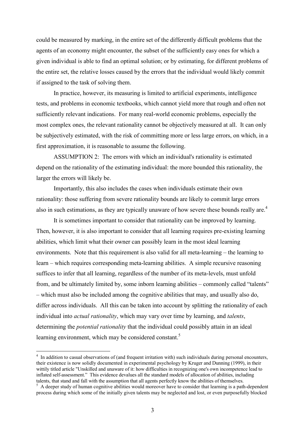could be measured by marking, in the entire set of the differently difficult problems that the agents of an economy might encounter, the subset of the sufficiently easy ones for which a given individual is able to find an optimal solution; or by estimating, for different problems of the entire set, the relative losses caused by the errors that the individual would likely commit if assigned to the task of solving them.

In practice, however, its measuring is limited to artificial experiments, intelligence tests, and problems in economic textbooks, which cannot yield more that rough and often not sufficiently relevant indications. For many real-world economic problems, especially the most complex ones, the relevant rationality cannot be objectively measured at all. It can only be subjectively estimated, with the risk of committing more or less large errors, on which, in a first approximation, it is reasonable to assume the following.

ASSUMPTION 2: The errors with which an individual's rationality is estimated depend on the rationality of the estimating individual: the more bounded this rationality, the larger the errors will likely be.

Importantly, this also includes the cases when individuals estimate their own rationality: those suffering from severe rationality bounds are likely to commit large errors also in such estimations, as they are typically unaware of how severe these bounds really are.<sup>4</sup>

It is sometimes important to consider that rationality can be improved by learning. Then, however, it is also important to consider that all learning requires pre-existing learning abilities, which limit what their owner can possibly learn in the most ideal learning environments. Note that this requirement is also valid for all meta-learning – the learning to learn – which requires corresponding meta-learning abilities. A simple recursive reasoning suffices to infer that all learning, regardless of the number of its meta-levels, must unfold from, and be ultimately limited by, some inborn learning abilities – commonly called "talents" - which must also be included among the cognitive abilities that may, and usually also do, differ across individuals. All this can be taken into account by splitting the rationality of each individual into *actual rationality*, which may vary over time by learning, and *talents*, determining the *potential rationality* that the individual could possibly attain in an ideal learning environment, which may be considered constant.<sup>5</sup>

 $4\,$  In addition to casual observations of (and frequent irritation with) such individuals during personal encounters. their existence is now solidly documented in experimental psychology by Kruger and Dunning (1999), in their wittily titled article "Unskilled and unaware of it: how difficulties in recognizing one's own incompetence lead to inflated self-assessment." This evidence devalues all the standard models of allocation of abilities, including talents, that stand and fall with the assumption that all agents perfectly know the abilities of themselves.

 $5$  A deeper study of human cognitive abilities would moreover have to consider that learning is a path-dependent process during which some of the initially given talents may be neglected and lost, or even purposefully blocked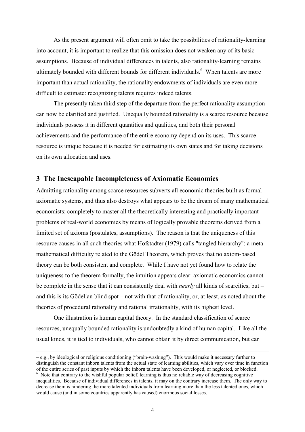As the present argument will often omit to take the possibilities of rationality-learning into account, it is important to realize that this omission does not weaken any of its basic assumptions. Because of individual differences in talents, also rationality-learning remains ultimately bounded with different bounds for different individuals.<sup>6</sup> When talents are more important than actual rationality, the rationality endowments of individuals are even more difficult to estimate: recognizing talents requires indeed talents.

The presently taken third step of the departure from the perfect rationality assumption can now be clarified and justified. Unequally bounded rationality is a scarce resource because individuals possess it in different quantities and qualities, and both their personal achievements and the performance of the entire economy depend on its uses. This scarce resource is unique because it is needed for estimating its own states and for taking decisions on its own allocation and uses.

## 3 The Inescapable Incompleteness of Axiomatic Economics

Admitting rationality among scarce resources subverts all economic theories built as formal axiomatic systems, and thus also destroys what appears to be the dream of many mathematical economists: completely to master all the theoretically interesting and practically important problems of real-world economies by means of logically provable theorems derived from a limited set of axioms (postulates, assumptions). The reason is that the uniqueness of this resource causes in all such theories what Hofstadter (1979) calls "tangled hierarchy": a metamathematical difficulty related to the Gödel Theorem, which proves that no axiom-based theory can be both consistent and complete. While I have not yet found how to relate the uniqueness to the theorem formally, the intuition appears clear: axiomatic economics cannot be complete in the sense that it can consistently deal with *nearly* all kinds of scarcities, but  $$ and this is its Gödelian blind spot – not with that of rationality, or, at least, as noted about the theories of procedural rationality and rational irrationality, with its highest level.

One illustration is human capital theory. In the standard classification of scarce resources, unequally bounded rationality is undoubtedly a kind of human capital. Like all the usual kinds, it is tied to individuals, who cannot obtain it by direct communication, but can

 $-e.g.,$  by ideological or religious conditioning ("brain-washing"). This would make it necessary further to distinguish the constant inborn talents from the actual state of learning abilities, which vary over time in function of the entire series of past inputs by which the inborn talents have been developed, or neglected, or blocked.  $6\,$  Note that contrary to the wishful popular belief, learning is thus no reliable way of decreasing cognitive inequalities. Because of individual differences in talents, it may on the contrary increase them. The only way to decrease them is hindering the more talented individuals from learning more than the less talented ones, which would cause (and in some countries apparently has caused) enormous social losses.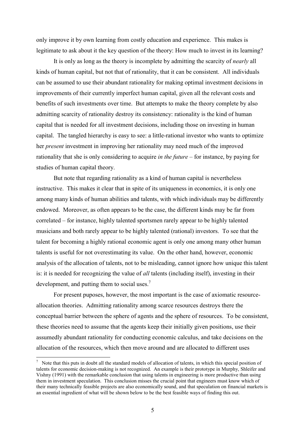only improve it by own learning from costly education and experience. This makes is legitimate to ask about it the key question of the theory: How much to invest in its learning?

It is only as long as the theory is incomplete by admitting the scarcity of *nearly* all kinds of human capital, but not that of rationality, that it can be consistent. All individuals can be assumed to use their abundant rationality for making optimal investment decisions in improvements of their currently imperfect human capital, given all the relevant costs and benefits of such investments over time. But attempts to make the theory complete by also admitting scarcity of rationality destroy its consistency: rationality is the kind of human capital that is needed for all investment decisions, including those on investing in human capital. The tangled hierarchy is easy to see: a little-rational investor who wants to optimize her *present* investment in improving her rationality may need much of the improved rationality that she is only considering to acquire in the future – for instance, by paying for studies of human capital theory.

But note that regarding rationality as a kind of human capital is nevertheless instructive. This makes it clear that in spite of its uniqueness in economics, it is only one among many kinds of human abilities and talents, with which individuals may be differently endowed. Moreover, as often appears to be the case, the different kinds may be far from correlated – for instance, highly talented sportsmen rarely appear to be highly talented musicians and both rarely appear to be highly talented (rational) investors. To see that the talent for becoming a highly rational economic agent is only one among many other human talents is useful for not overestimating its value. On the other hand, however, economic analysis of the allocation of talents, not to be misleading, cannot ignore how unique this talent is: it is needed for recognizing the value of  $all$  talents (including itself), investing in their development, and putting them to social uses.<sup>7</sup>

For present puposes, however, the most important is the case of axiomatic resourceallocation theories. Admitting rationality among scarce resources destroys there the conceptual barrier between the sphere of agents and the sphere of resources. To be consistent, these theories need to assume that the agents keep their initially given positions, use their assumedly abundant rationality for conducting economic calculus, and take decisions on the allocation of the resources, which then move around and are allocated to different uses

<sup>&</sup>lt;sup>7</sup> Note that this puts in doubt all the standard models of allocation of talents, in which this special position of talents for economic decision-making is not recognized. An example is their prototype in Murphy, Shleifer and Vishny (1991) with the remarkable conclusion that using talents in engineering is more productive than using them in investment speculation. This conclusion misses the crucial point that engineers must know which of their many technically feasible projects are also economically sound, and that speculation on financial markets is an essential ingredient of what will be shown below to be the best feasible ways of finding this out.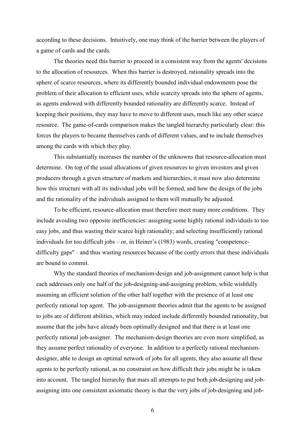according to these decisions. Intuitively, one may think of the barrier between the players of a game of cards and the cards.

The theories need this barrier to proceed in a consistent way from the agents' decisions to the allocation of resources. When this barrier is destroyed, rationality spreads into the sphere of scarce resources, where its differently bounded individual endowments pose the problem of their allocation to efficient uses, while scarcity spreads into the sphere of agents, as agents endowed with differently bounded rationality are differently scarce. Instead of keeping their positions, they may have to move to different uses, much like any other scarce resource. The game-of-cards comparison makes the tangled hierarchy particularly clear: this forces the players to became themselves cards of different values, and to include themselves among the cards with which they play.

This substantially increases the number of the unknowns that resource-allocation must determine. On top of the usual allocations of given resources to given investors and given producers through a given structure of markets and hierarchies, it must now also determine how this structure with all its individual jobs will be formed, and how the design of the jobs and the rationality of the individuals assigned to them will mutually be adjusted.

To be efficient, resource-allocation must therefore meet many more conditions. They include avoiding two opposite inefficiencies: assigning some highly rational individuals to too easy jobs, and thus wasting their scarce high rationality; and selecting insufficiently rational individuals for too difficult jobs – or, in Heiner's  $(1983)$  words, creating "competencedifficulty gaps" – and thus wasting resources because of the costly errors that these individuals are bound to commit.

Why the standard theories of mechanism-design and job-assignment cannot help is that each addresses only one half of the job-designing-and-assigning problem, while wishfully assuming an efficient solution of the other half together with the presence of at least one perfectly rational top agent. The job-assignment theories admit that the agents to be assigned to jobs are of different abilities, which may indeed include differently bounded rationality, but assume that the jobs have already been optimally designed and that there is at least one perfectly rational job-assigner. The mechanism-design theories are even more simplified, as they assume perfect rationality of everyone. In addition to a perfectly rational mechanismdesigner, able to design an optimal network of jobs for all agents, they also assume all these agents to be perfectly rational, as no constraint on how difficult their jobs might be is taken into account. The tangled hierarchy that mars all attempts to put both job-designing and jobassigning into one consistent axiomatic theory is that the very jobs of job-designing and job-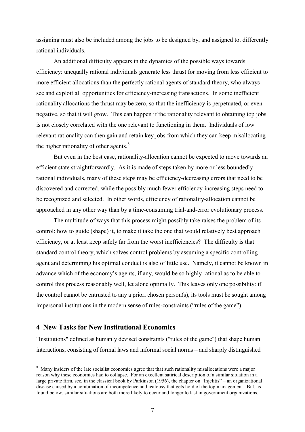assigning must also be included among the jobs to be designed by, and assigned to, differently rational individuals.

An additional difficulty appears in the dynamics of the possible ways towards efficiency: unequally rational individuals generate less thrust for moving from less efficient to more efficient allocations than the perfectly rational agents of standard theory, who always see and exploit all opportunities for efficiency-increasing transactions. In some inefficient rationality allocations the thrust may be zero, so that the inefficiency is perpetuated, or even negative, so that it will grow. This can happen if the rationality relevant to obtaining top jobs is not closely correlated with the one relevant to functioning in them. Individuals of low relevant rationality can then gain and retain key jobs from which they can keep misallocating the higher rationality of other agents.<sup>8</sup>

But even in the best case, rationality-allocation cannot be expected to move towards an efficient state straightforwardly. As it is made of steps taken by more or less boundedly rational individuals, many of these steps may be efficiency-decreasing errors that need to be discovered and corrected, while the possibly much fewer efficiency-increasing steps need to be recognized and selected. In other words, efficiency of rationality-allocation cannot be approached in any other way than by a time-consuming trial-and-error evolutionary process.

The multitude of ways that this process might possibly take raises the problem of its control: how to guide (shape) it, to make it take the one that would relatively best approach efficiency, or at least keep safely far from the worst inefficiencies? The difficulty is that standard control theory, which solves control problems by assuming a specific controlling agent and determining his optimal conduct is also of little use. Namely, it cannot be known in advance which of the economy's agents, if any, would be so highly rational as to be able to control this process reasonably well, let alone optimally. This leaves only one possibility: if the control cannot be entrusted to any a priori chosen person(s), its tools must be sought among impersonal institutions in the modern sense of rules-constraints ("rules of the game").

# 4 New Tasks for New Institutional Economics

"Institutions" defined as humanly devised constraints ("rules of the game") that shape human interactions, consisting of formal laws and informal social norms – and sharply distinguished

<sup>&</sup>lt;sup>8</sup> Many insiders of the late socialist economies agree that that such rationality misallocations were a major reason why these economies had to collapse. For an excellent satirical description of a similar situation in a large private firm, see, in the classical book by Parkinson (1956), the chapter on "Injelitis" – an organizational disease caused by a combination of incompetence and jealousy that gets hold of the top management. But, as found below, similar situations are both more likely to occur and longer to last in government organizations.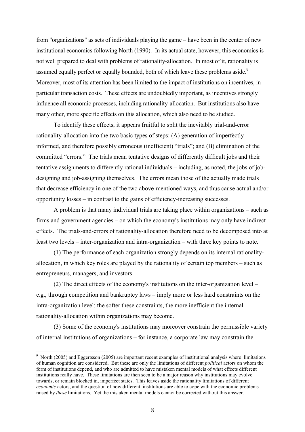from "organizations" as sets of individuals playing the game – have been in the center of new institutional economics following North (1990). In its actual state, however, this economics is not well prepared to deal with problems of rationality-allocation. In most of it, rationality is assumed equally perfect or equally bounded, both of which leave these problems aside.<sup>9</sup> Moreover, most of its attention has been limited to the impact of institutions on incentives, in particular transaction costs. These effects are undoubtedly important, as incentives strongly influence all economic processes, including rationality-allocation. But institutions also have many other, more specific effects on this allocation, which also need to be studied.

To identify these effects, it appears fruitful to split the inevitably trial-and-error rationality-allocation into the two basic types of steps: (A) generation of imperfectly informed, and therefore possibly erroneous (inefficient) "trials"; and (B) elimination of the committed "errors." The trials mean tentative designs of differently difficult jobs and their tentative assignments to differently rational individuals – including, as noted, the jobs of jobdesigning and job-assigning themselves. The errors mean those of the actually made trials that decrease efficiency in one of the two above-mentioned ways, and thus cause actual and/or opportunity losses  $-$  in contrast to the gains of efficiency-increasing successes.

A problem is that many individual trials are taking place within organizations – such as firms and government agencies – on which the economy's institutions may only have indirect effects. The trials-and-errors of rationality-allocation therefore need to be decomposed into at least two levels – inter-organization and intra-organization – with three key points to note.

(1) The performance of each organization strongly depends on its internal rationalityallocation, in which key roles are played by the rationality of certain top members – such as entrepreneurs, managers, and investors.

(2) The direct effects of the economy's institutions on the inter-organization level  $$ e.g., through competition and bankruptcy laws – imply more or less hard constraints on the intra-organization level: the softer these constraints, the more inefficient the internal rationality-allocation within organizations may become.

(3) Some of the economy's institutions may moreover constrain the permissible variety of internal institutions of organizations – for instance, a corporate law may constrain the

 $\degree$  North (2005) and Eggertsson (2005) are important recent examples of institutional analysis where limitations of human cognition are considered. But these are only the limitations of different *political* actors on whom the form of institutions depend, and who are admitted to have mistaken mental models of what effects different institutions really have. These limitations are then seen to be a major reason why institutions may evolve towards, or remain blocked in, imperfect states. This leaves aside the rationality limitations of different economic actors, and the question of how different institutions are able to cope with the economic problems raised by *these* limitations. Yet the mistaken mental models cannot be corrected without this answer.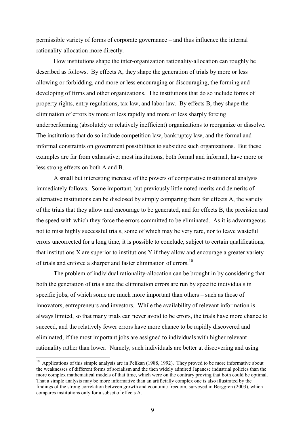permissible variety of forms of corporate governance – and thus influence the internal rationality-allocation more directly.

How institutions shape the inter-organization rationality-allocation can roughly be described as follows. By effects A, they shape the generation of trials by more or less allowing or forbidding, and more or less encouraging or discouraging, the forming and developing of firms and other organizations. The institutions that do so include forms of property rights, entry regulations, tax law, and labor law. By effects B, they shape the elimination of errors by more or less rapidly and more or less sharply forcing underperforming (absolutely or relatively inefficient) organizations to reorganize or dissolve. The institutions that do so include competition law, bankruptcy law, and the formal and informal constraints on government possibilities to subsidize such organizations. But these examples are far from exhaustive; most institutions, both formal and informal, have more or less strong effects on both A and B.

A small but interesting increase of the powers of comparative institutional analysis immediately follows. Some important, but previously little noted merits and demerits of alternative institutions can be disclosed by simply comparing them for effects A, the variety of the trials that they allow and encourage to be generated, and for effects B, the precision and the speed with which they force the errors committed to be eliminated. As it is advantageous not to miss highly successful trials, some of which may be very rare, nor to leave wasteful errors uncorrected for a long time, it is possible to conclude, subject to certain qualifications, that institutions X are superior to institutions Y if they allow and encourage a greater variety of trials and enforce a sharper and faster elimination of errors.<sup>10</sup>

The problem of individual rationality-allocation can be brought in by considering that both the generation of trials and the elimination errors are run by specific individuals in specific jobs, of which some are much more important than others – such as those of innovators, entrepreneurs and investors. While the availability of relevant information is always limited, so that many trials can never avoid to be errors, the trials have more chance to succeed, and the relatively fewer errors have more chance to be rapidly discovered and eliminated, if the most important jobs are assigned to individuals with higher relevant rationality rather than lower. Namely, such individuals are better at discovering and using

 $10$  Applications of this simple analysis are in Pelikan (1988, 1992). They proved to be more informative about the weaknesses of different forms of socialism and the then widely admired Japanese industrial policies than the more complex mathematical models of that time, which were on the contrary proving that both could be optimal. That a simple analysis may be more informative than an artificially complex one is also illustrated by the findings of the strong correlation between growth and economic freedom, surveyed in Berggren (2003), which compares institutions only for a subset of effects A.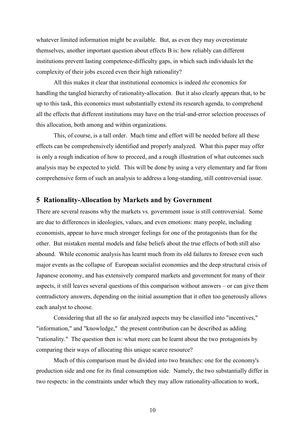whatever limited information might be available. But, as even they may overestimate themselves, another important question about effects B is: how reliably can different institutions prevent lasting competence-difficulty gaps, in which such individuals let the complexity of their jobs exceed even their high rationality?

All this makes it clear that institutional economics is indeed *the* economics for handling the tangled hierarchy of rationality-allocation. But it also clearly appears that, to be up to this task, this economics must substantially extend its research agenda, to comprehend all the effects that different institutions may have on the trial-and-error selection processes of this allocation, both among and within organizations.

This, of course, is a tall order. Much time and effort will be needed before all these effects can be comprehensively identified and properly analyzed. What this paper may offer is only a rough indication of how to proceed, and a rough illustration of what outcomes such analysis may be expected to yield. This will be done by using a very elementary and far from comprehensive form of such an analysis to address a long-standing, still controversial issue.

#### 5 Rationality-Allocation by Markets and by Government

There are several reasons why the markets vs. government issue is still controversial. Some are due to differences in ideologies, values, and even emotions; many people, including economists, appear to have much stronger feelings for one of the protagonists than for the other. But mistaken mental models and false beliefs about the true effects of both still also abound. While economic analysis has learnt much from its old failures to foresee even such major events as the collapse of European socialist economies and the deep structural crisis of Japanese economy, and has extensively compared markets and government for many of their aspects, it still leaves several questions of this comparison without answers  $-$  or can give them contradictory answers, depending on the initial assumption that it often too generously allows each analyst to choose.

Considering that all the so far analyzed aspects may be classified into "incentives," "information," and "knowledge," the present contribution can be described as adding "rationality." The question then is: what more can be learnt about the two protagonists by comparing their ways of allocating this unique scarce resource?

Much of this comparison must be divided into two branches: one for the economy's production side and one for its final consumption side. Namely, the two substantially differ in two respects: in the constraints under which they may allow rationality-allocation to work,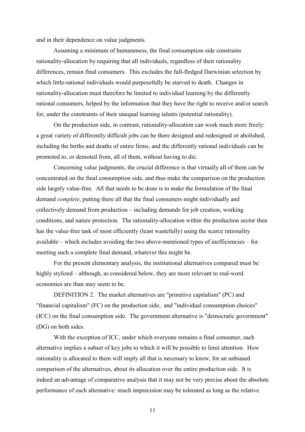and in their dependence on value judgments.

Assuming a minimum of humaneness, the final consumption side constrains rationality-allocation by requiring that all individuals, regardless of their rationality differences, remain final consumers. This excludes the full-fledged Darwinian selection by which little-rational individuals would purposefully be starved to death. Changes in rationality-allocation must therefore be limited to individual learning by the differently rational consumers, helped by the information that they have the right to receive and/or search for, under the constraints of their unequal learning talents (potential rationality).

On the production side, in contrast, rationality-allocation can work much more freely: a great variety of differently difficult jobs can be there designed and redesigned or abolished, including the births and deaths of entire firms, and the differently rational individuals can be promoted to, or demoted from, all of them, without having to die.

Concerning value judgments, the crucial difference is that virtually all of them can be concentrated on the final consumption side, and thus make the comparison on the production side largely value-free. All that needs to be done is to make the formulation of the final demand *complete*, putting there all that the final consumers might individually and collectively demand from production – including demands for job creation, working conditions, and nature protection. The rationality-allocation within the production sector then has the value-free task of most efficiently (least wastefully) using the scarce rationality  $a$  available – which includes avoiding the two above-mentioned types of inefficiencies – for meeting such a complete final demand, whatever this might be.

For the present elementary analysis, the institutional alternatives compared must be highly stylized – although, as considered below, they are more relevant to real-word economies are than may seem to be.

DEFINITION 2. The market alternatives are "primitive capitalism" (PC) and "financial capitalism" (FC) on the production side, and "individual consumption choices" (ICC) on the final consumption side. The government alternative is "democratic government" (DG) on both sides.

With the exception of ICC, under which everyone remains a final consumer, each alternative implies a subset of key jobs to which it will be possible to limit attention. How rationality is allocated to them will imply all that is necessary to know, for an unbiased comparison of the alternatives, about its allocation over the entire production side. It is indeed an advantage of comparative analysis that it may not be very precise about the absolute performance of each alternative: much imprecision may be tolerated as long as the relative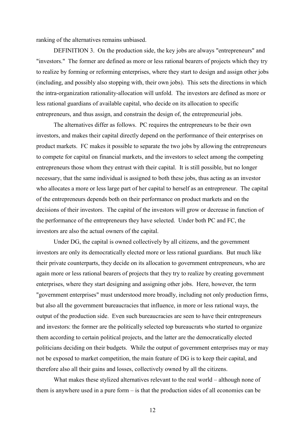ranking of the alternatives remains unbiased.

DEFINITION 3. On the production side, the key jobs are always "entrepreneurs" and "investors." The former are defined as more or less rational bearers of projects which they try to realize by forming or reforming enterprises, where they start to design and assign other jobs (including, and possibly also stopping with, their own jobs). This sets the directions in which the intra-organization rationality-allocation will unfold. The investors are defined as more or less rational guardians of available capital, who decide on its allocation to specific entrepreneurs, and thus assign, and constrain the design of, the entrepreneurial jobs.

The alternatives differ as follows. PC requires the entrepreneurs to be their own investors, and makes their capital directly depend on the performance of their enterprises on product markets. FC makes it possible to separate the two jobs by allowing the entrepreneurs to compete for capital on financial markets, and the investors to select among the competing entrepreneurs those whom they entrust with their capital. It is still possible, but no longer necessary, that the same individual is assigned to both these jobs, thus acting as an investor who allocates a more or less large part of her capital to herself as an entrepreneur. The capital of the entrepreneurs depends both on their performance on product markets and on the decisions of their investors. The capital of the investors will grow or decrease in function of the performance of the entrepreneurs they have selected. Under both PC and FC, the investors are also the actual owners of the capital.

Under DG, the capital is owned collectively by all citizens, and the government investors are only its democratically elected more or less rational guardians. But much like their private counterparts, they decide on its allocation to government entrepreneurs, who are again more or less rational bearers of projects that they try to realize by creating government enterprises, where they start designing and assigning other jobs. Here, however, the term "government enterprises" must understood more broadly, including not only production firms, but also all the government bureaucracies that influence, in more or less rational ways, the output of the production side. Even such bureaucracies are seen to have their entrepreneurs and investors: the former are the politically selected top bureaucrats who started to organize them according to certain political projects, and the latter are the democratically elected politicians deciding on their budgets. While the output of government enterprises may or may not be exposed to market competition, the main feature of DG is to keep their capital, and therefore also all their gains and losses, collectively owned by all the citizens.

What makes these stylized alternatives relevant to the real world – although none of them is anywhere used in a pure form  $-$  is that the production sides of all economies can be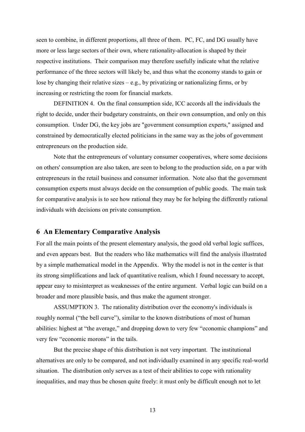seen to combine, in different proportions, all three of them. PC, FC, and DG usually have more or less large sectors of their own, where rationality-allocation is shaped by their respective institutions. Their comparison may therefore usefully indicate what the relative performance of the three sectors will likely be, and thus what the economy stands to gain or lose by changing their relative sizes – e.g., by privatizing or nationalizing firms, or by increasing or restricting the room for financial markets.

DEFINITION 4. On the final consumption side, ICC accords all the individuals the right to decide, under their budgetary constraints, on their own consumption, and only on this consumption. Under DG, the key jobs are "government consumption experts," assigned and constrained by democratically elected politicians in the same way as the jobs of government entrepreneurs on the production side.

Note that the entrepreneurs of voluntary consumer cooperatives, where some decisions on others' consumption are also taken, are seen to belong to the production side, on a par with entrepreneurs in the retail business and consumer information. Note also that the government consumption experts must always decide on the consumption of public goods. The main task for comparative analysis is to see how rational they may be for helping the differently rational individuals with decisions on private consumption.

# 6 An Elementary Comparative Analysis

For all the main points of the present elementary analysis, the good old verbal logic suffices, and even appears best. But the readers who like mathematics will find the analysis illustrated by a simple mathematical model in the Appendix. Why the model is not in the center is that its strong simplifications and lack of quantitative realism, which I found necessary to accept, appear easy to misinterpret as weaknesses of the entire argument. Verbal logic can build on a broader and more plausible basis, and thus make the agument stronger.

ASSUMPTION 3. The rationality distribution over the economy's individuals is roughly normal ("the bell curve"), similar to the known distributions of most of human abilities: highest at "the average," and dropping down to very few "economic champions" and very few "economic morons" in the tails.

But the precise shape of this distribution is not very important. The institutional alternatives are only to be compared, and not individually examined in any specific real-world situation. The distribution only serves as a test of their abilities to cope with rationality inequalities, and may thus be chosen quite freely: it must only be difficult enough not to let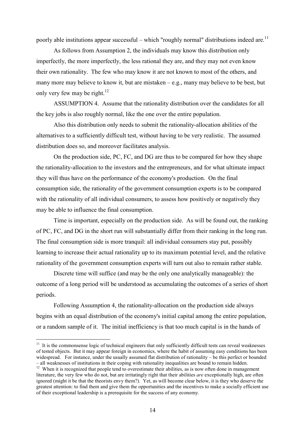poorly able institutions appear successful – which "roughly normal" distributions indeed are.<sup>11</sup>

As follows from Assumption 2, the individuals may know this distribution only imperfectly, the more imperfectly, the less rational they are, and they may not even know their own rationality. The few who may know it are not known to most of the others, and many more may believe to know it, but are mistaken  $-e.g.,$  many may believe to be best, but only very few may be right.<sup>12</sup>

ASSUMPTION 4. Assume that the rationality distribution over the candidates for all the key jobs is also roughly normal, like the one over the entire population.

Also this distribution only needs to submit the rationality-allocation abilities of the alternatives to a sufficiently difficult test, without having to be very realistic. The assumed distribution does so, and moreover facilitates analysis.

On the production side, PC, FC, and DG are thus to be compared for how they shape the rationality-allocation to the investors and the entrepreneurs, and for what ultimate impact they will thus have on the performance of the economy's production. On the final consumption side, the rationality of the government consumption experts is to be compared with the rationality of all individual consumers, to assess how positively or negatively they may be able to influence the final consumption.

Time is important, especially on the production side. As will be found out, the ranking of PC, FC, and DG in the short run will substantially differ from their ranking in the long run. The final consumption side is more tranquil: all individual consumers stay put, possibly learning to increase their actual rationality up to its maximum potential level, and the relative rationality of the government consumption experts will turn out also to remain rather stable.

Discrete time will suffice (and may be the only one analytically manageable): the outcome of a long period will be understood as accumulating the outcomes of a series of short periods.

Following Assumption 4, the rationality-allocation on the production side always begins with an equal distribution of the economy's initial capital among the entire population, or a random sample of it. The initial inefficiency is that too much capital is in the hands of

 $11$  It is the commonsense logic of technical engineers that only sufficiently difficult tests can reveal weaknesses of tested objects. But it may appear foreign in economics, where the habit of assuming easy conditions has been widespread. For instance, under the usually assumed flat distribution of rationality – be this perfect or bounded - all weaknesses of institutions in their coping with rationality inequalities are bound to remain hidden.

<sup>&</sup>lt;sup>12</sup> When it is recognized that people tend to overestimate their abilities, as is now often done in management literature, the very few who do not, but are irritatingly right that their abilities are exceptionally high, are often ignored (might it be that the theorists envy them?). Yet, as will become clear below, it is they who deserve the greatest attention: to find them and give them the opportunities and the incentives to make a socially efficient use of their exceptional leadership is a prerequisite for the success of any economy.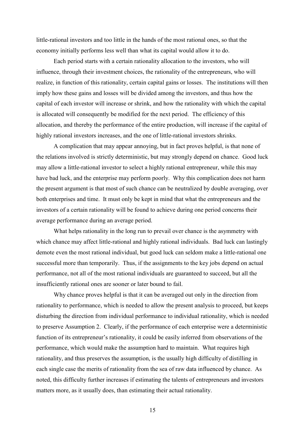little-rational investors and too little in the hands of the most rational ones, so that the economy initially performs less well than what its capital would allow it to do.

Each period starts with a certain rationality allocation to the investors, who will influence, through their investment choices, the rationality of the entrepreneurs, who will realize, in function of this rationality, certain capital gains or losses. The institutions will then imply how these gains and losses will be divided among the investors, and thus how the capital of each investor will increase or shrink, and how the rationality with which the capital is allocated will consequently be modified for the next period. The efficiency of this allocation, and thereby the performance of the entire production, will increase if the capital of highly rational investors increases, and the one of little-rational investors shrinks.

A complication that may appear annoying, but in fact proves helpful, is that none of the relations involved is strictly deterministic, but may strongly depend on chance. Good luck may allow a little-rational investor to select a highly rational entrepreneur, while this may have bad luck, and the enterprise may perform poorly. Why this complication does not harm the present argument is that most of such chance can be neutralized by double averaging, over both enterprises and time. It must only be kept in mind that what the entrepreneurs and the investors of a certain rationality will be found to achieve during one period concerns their average performance during an average period.

What helps rationality in the long run to prevail over chance is the asymmetry with which chance may affect little-rational and highly rational individuals. Bad luck can lastingly demote even the most rational individual, but good luck can seldom make a little-rational one successful more than temporarily. Thus, if the assignments to the key jobs depend on actual performance, not all of the most rational individuals are guaranteed to succeed, but all the insufficiently rational ones are sooner or later bound to fail.

Why chance proves helpful is that it can be averaged out only in the direction from rationality to performance, which is needed to allow the present analysis to proceed, but keeps disturbing the direction from individual performance to individual rationality, which is needed to preserve Assumption 2. Clearly, if the performance of each enterprise were a deterministic function of its entrepreneur's rationality, it could be easily inferred from observations of the performance, which would make the assumption hard to maintain. What requires high rationality, and thus preserves the assumption, is the usually high difficulty of distilling in each single case the merits of rationality from the sea of raw data influenced by chance. As noted, this difficulty further increases if estimating the talents of entrepreneurs and investors matters more, as it usually does, than estimating their actual rationality.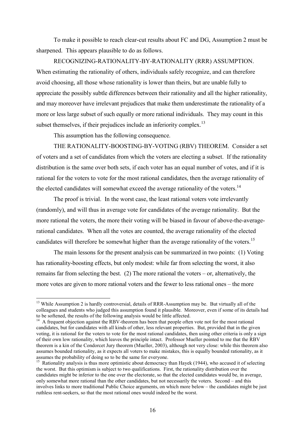To make it possible to reach clear-cut results about FC and DG, Assumption 2 must be sharpened. This appears plausible to do as follows.

RECOGNIZING-RATIONALITY-BY-RATIONALITY (RRR) ASSUMPTION. When estimating the rationality of others, individuals safely recognize, and can therefore avoid choosing, all those whose rationality is lower than theirs, but are unable fully to appreciate the possibly subtle differences between their rationality and all the higher rationality. and may moreover have irrelevant prejudices that make them underestimate the rationality of a more or less large subset of such equally or more rational individuals. They may count in this subset themselves, if their prejudices include an inferiority complex.<sup>13</sup>

This assumption has the following consequence.

THE RATIONALITY-BOOSTING-BY-VOTING (RBV) THEOREM. Consider a set of voters and a set of candidates from which the voters are electing a subset. If the rationality distribution is the same over both sets, if each voter has an equal number of votes, and if it is rational for the voters to vote for the most rational candidates, then the average rationality of the elected candidates will somewhat exceed the average rationality of the voters.<sup>14</sup>

The proof is trivial. In the worst case, the least rational voters vote irrelevantly (randomly), and will thus in average vote for candidates of the average rationality. But the more rational the voters, the more their voting will be biased in favour of above-the-averagerational candidates. When all the votes are counted, the average rationality of the elected candidates will therefore be somewhat higher than the average rationality of the voters.<sup>15</sup>

The main lessons for the present analysis can be summarized in two points: (1) Voting has rationality-boosting effects, but only modest: while far from selecting the worst, it also remains far from selecting the best. (2) The more rational the voters – or, alternatively, the more votes are given to more rational voters and the fewer to less rational ones – the more

<sup>&</sup>lt;sup>13</sup> While Assumption 2 is hardly controversial, details of RRR-Assumption may be. But virtually all of the colleagues and students who judged this assumption found it plausible. Moreover, even if some of its details had to be softened, the results of the following analysis would be little affected.

<sup>&</sup>lt;sup>14</sup> A frequent objection against the RBV-theorem has been that people often vote not for the most rational candidates, but for candidates with all kinds of other, less relevant properties. But, provided that in the given voting, it is rational for the voters to vote for the most rational candidates, then using other criteria is only a sign of their own low rationality, which leaves the principle intact. Professor Mueller pointed to me that the RBV theorem is a kin of the Condorcet Jury theorem (Mueller, 2003), although not very close: while this theorem also assumes bounded rationality, as it expects all voters to make mistakes, this is equally bounded rationality, as it assumes the probability of doing so to be the same for everyone.

<sup>&</sup>lt;sup>15</sup> Rationality analysis is thus more optimistic about democracy than Hayek (1944), who accused it of selecting the worst. But this optimism is subject to two qualifications. First, the rationality distribution over the candidates might be inferior to the one over the electorate, so that the elected candidates would be, in average, only somewhat more rational than the other candidates, but not necessarily the voters. Second – and this involves links to more traditional Public Choice arguments, on which more below - the candidates might be just ruthless rent-seekers, so that the most rational ones would indeed be the worst.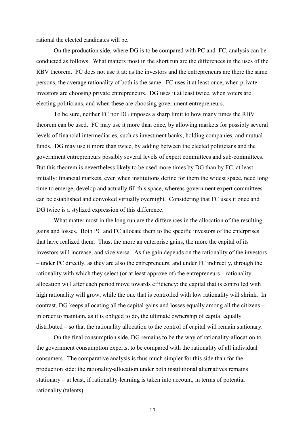rational the elected candidates will be.

On the production side, where DG is to be compared with PC and FC, analysis can be conducted as follows. What matters most in the short run are the differences in the uses of the RBV theorem. PC does not use it at: as the investors and the entrepreneurs are there the same persons, the average rationality of both is the same. FC uses it at least once, when private investors are choosing private entrepreneurs. DG uses it at least twice, when voters are electing politicians, and when these are choosing government entrepreneurs.

To be sure, neither FC nor DG imposes a sharp limit to how many times the RBV theorem can be used. FC may use it more than once, by allowing markets for possibly several levels of financial intermediaries, such as investment banks, holding companies, and mutual funds. DG may use it more than twice, by adding between the elected politicians and the government entrepreneurs possibly several levels of expert committees and sub-committees. But this theorem is nevertheless likely to be used more times by DG than by FC, at least initially: financial markets, even when institutions define for them the widest space, need long time to emerge, develop and actually fill this space, whereas government expert committees can be established and convoked virtually overnight. Considering that FC uses it once and DG twice is a stylized expression of this difference.

What matter most in the long run are the differences in the allocation of the resulting gains and losses. Both PC and FC allocate them to the specific investors of the enterprises that have realized them. Thus, the more an enterprise gains, the more the capital of its investors will increase, and vice versa. As the gain depends on the rationality of the investors  $-$  under PC directly, as they are also the entrepreneurs, and under FC indirectly, through the rationality with which they select (or at least approve of) the entrepreneurs – rationality allocation will after each period move towards efficiency: the capital that is controlled with high rationality will grow, while the one that is controlled with low rationality will shrink. In contrast, DG keeps allocating all the capital gains and losses equally among all the citizens – in order to maintain, as it is obliged to do, the ultimate ownership of capital equally  $distributed - so that the rationality allocation to the control of capital will remain stationary.$ 

On the final consumption side, DG remains to be the way of rationality-allocation to the government consumption experts, to be compared with the rationality of all individual consumers. The comparative analysis is thus much simpler for this side than for the production side: the rationality-allocation under both institutional alternatives remains stationary – at least, if rationality-learning is taken into account, in terms of potential rationality(talents).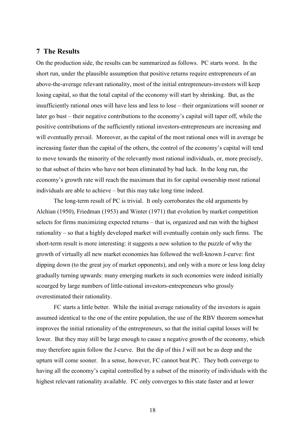# **7 The Results**

On the production side, the results can be summarized as follows. PC starts worst. In the short run, under the plausible assumption that positive returns require entrepreneurs of an above-the-average relevant rationality, most of the initial entrepreneurs-investors will keep losing capital, so that the total capital of the economy will start by shrinking. But, as the insufficiently rational ones will have less and less to lose – their organizations will sooner or later go bust – their negative contributions to the economy's capital will taper off, while the positive contributions of the sufficiently rational investors-entrepreneurs are increasing and will eventually prevail. Moreover, as the capital of the most rational ones will in average be increasing faster than the capital of the others, the control of the economy's capital will tend to move towards the minority of the relevantly most rational individuals, or, more precisely, to that subset of theirs who have not been eliminated by bad luck. In the long run, the economy's growth rate will reach the maximum that its for capital ownership most rational individuals are able to achieve – but this may take long time indeed.

The long-term result of PC is trivial. It only corroborates the old arguments by Alchian (1950), Friedman (1953) and Winter (1971) that evolution by market competition selects for firms maximizing expected returns – that is, organized and run with the highest rationality – so that a highly developed market will eventually contain only such firms. The short-term result is more interesting: it suggests a new solution to the puzzle of why the growth of virtually all new market economies has followed the well-known J-curve: first dipping down (to the great joy of market opponents), and only with a more or less long delay gradually turning upwards: many emerging markets in such economies were indeed initially scourged by large numbers of little-rational investors-entrepreneurs who grossly overestimated their rationality.

FC starts a little better. While the initial average rationality of the investors is again assumed identical to the one of the entire population, the use of the RBV theorem somewhat improves the initial rationality of the entrepreneurs, so that the initial capital losses will be lower. But they may still be large enough to cause a negative growth of the economy, which may therefore again follow the J-curve. But the dip of this J will not be as deep and the upturn will come sooner. In a sense, however, FC cannot beat PC. They both converge to having all the economy's capital controlled by a subset of the minority of individuals with the highest relevant rationality available. FC only converges to this state faster and at lower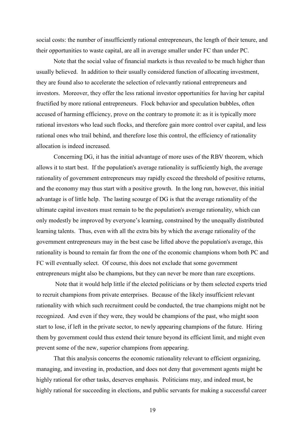social costs: the number of insufficiently rational entrepreneurs, the length of their tenure, and their opportunities to waste capital, are all in average smaller under FC than under PC.

Note that the social value of financial markets is thus revealed to be much higher than usually believed. In addition to their usually considered function of allocating investment, they are found also to accelerate the selection of relevantly rational entrepreneurs and investors. Moreover, they offer the less rational investor opportunities for having her capital fructified by more rational entrepreneurs. Flock behavior and speculation bubbles, often accused of harming efficiency, prove on the contrary to promote it: as it is typically more rational investors who lead such flocks, and therefore gain more control over capital, and less rational ones who trail behind, and therefore lose this control, the efficiency of rationality allocation is indeed increased.

Concerning DG, it has the initial advantage of more uses of the RBV theorem, which allows it to start best. If the population's average rationality is sufficiently high, the average rationality of government entrepreneurs may rapidly exceed the threshold of positive returns, and the economy may thus start with a positive growth. In the long run, however, this initial advantage is of little help. The lasting scourge of DG is that the average rationality of the ultimate capital investors must remain to be the population's average rationality, which can only modestly be improved by everyone's learning, constrained by the unequally distributed learning talents. Thus, even with all the extra bits by which the average rationality of the government entrepreneurs may in the best case be lifted above the population's average, this rationality is bound to remain far from the one of the economic champions whom both PC and FC will eventually select. Of course, this does not exclude that some government entrepreneurs might also be champions, but they can never be more than rare exceptions.

Note that it would help little if the elected politicians or by them selected experts tried to recruit champions from private enterprises. Because of the likely insufficient relevant rationality with which such recruitment could be conducted, the true champions might not be recognized. And even if they were, they would be champions of the past, who might soon start to lose, if left in the private sector, to newly appearing champions of the future. Hiring them by government could thus extend their tenure beyond its efficient limit, and might even prevent some of the new, superior champions from appearing.

That this analysis concerns the economic rationality relevant to efficient organizing, managing, and investing in, production, and does not deny that government agents might be highly rational for other tasks, deserves emphasis. Politicians may, and indeed must, be highly rational for succeeding in elections, and public servants for making a successful career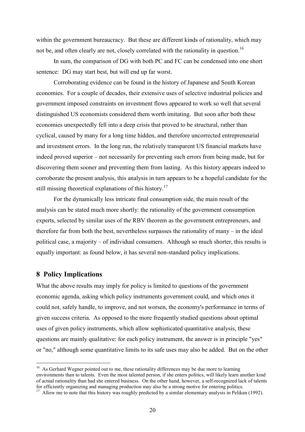within the government bureaucracy. But these are different kinds of rationality, which may not be, and often clearly are not, closely correlated with the rationality in question.<sup>16</sup>

In sum, the comparison of DG with both PC and FC can be condensed into one short sentence: DG may start best, but will end up far worst.

Corroborating evidence can be found in the history of Japanese and South Korean economies. For a couple of decades, their extensive uses of selective industrial policies and government imposed constraints on investment flows appeared to work so well that several distinguished US economists considered them worth imitating. But soon after both these economies unexpectedly fell into a deep crisis that proved to be structural, rather than cyclical, caused by many for a long time hidden, and therefore uncorrected entrepreneurial and investment errors. In the long run, the relatively transparent US financial markets have indeed proved superior – not necessarily for preventing such errors from being made, but for discovering them sooner and preventing them from lasting. As this history appears indeed to corroborate the present analysis, this analysis in turn appears to be a hopeful candidate for the still missing theoretical explanations of this history.<sup>17</sup>

For the dynamically less intricate final consumption side, the main result of the analysis can be stated much more shortly: the rationality of the government consumption experts, selected by similar uses of the RBV theorem as the government entrepreneurs, and therefore far from both the best, nevertheless surpasses the rationality of many – in the ideal political case, a majority – of individual consumers. Although so much shorter, this results is equally important: as found below, it has several non-standard policy implications.

# **8 Policy Implications**

What the above results may imply for policy is limited to questions of the government economic agenda, asking which policy instruments government could, and which ones it could not, safely handle, to improve, and not worsen, the economy's performance in terms of given success criteria. As opposed to the more frequently studied questions about optimal uses of given policy instruments, which allow sophisticated quantitative analysis, these questions are mainly qualitative: for each policy instrument, the answer is in principle "yes" or "no," although some quantitative limits to its safe uses may also be added. But on the other

<sup>&</sup>lt;sup>16</sup> As Gerhard Wegner pointed out to me, these rationality differences may be due more to learning environments than to talents. Even the most talented person, if she enters politics, will likely learn another kind of actual rationality than had she entered business. On the other hand, however, a self-recognized lack of talents for efficiently organizing and managing production may also be a strong motive for entering politics.

<sup>&</sup>lt;sup>17</sup> Allow me to note that this history was roughly predicted by a similar elementary analysis in Pelikan (1992).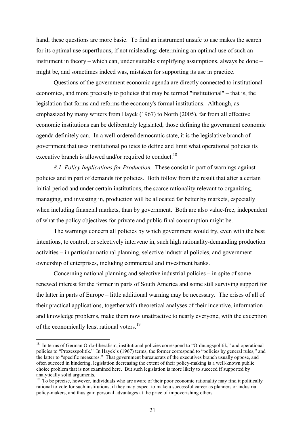hand, these questions are more basic. To find an instrument unsafe to use makes the search for its optimal use superfluous, if not misleading: determining an optimal use of such an instrument in theory – which can, under suitable simplifying assumptions, always be done – might be, and sometimes indeed was, mistaken for supporting its use in practice.

Questions of the government economic agenda are directly connected to institutional economics, and more precisely to policies that may be termed "institutional" – that is, the legislation that forms and reforms the economy's formal institutions. Although, as emphasized by many writers from Hayek (1967) to North (2005), far from all effective economic institutions can be deliberately legislated, those defining the government economic agenda definitely can. In a well-ordered democratic state, it is the legislative branch of government that uses institutional policies to define and limit what operational policies its executive branch is allowed and/or required to conduct.<sup>18</sup>

8.1 Policy Implications for Production. These consist in part of warnings against policies and in part of demands for policies. Both follow from the result that after a certain initial period and under certain institutions, the scarce rationality relevant to organizing, managing, and investing in, production will be allocated far better by markets, especially when including financial markets, than by government. Both are also value-free, independent of what the policy objectives for private and public final consumption might be.

The warnings concern all policies by which government would try, even with the best intentions, to control, or selectively intervene in, such high rationality-demanding production activities – in particular national planning, selective industrial policies, and government ownership of enterprises, including commercial and investment banks.

Concerning national planning and selective industrial policies – in spite of some renewed interest for the former in parts of South America and some still surviving support for the latter in parts of Europe – little additional warning may be necessary. The crises of all of their practical applications, together with theoretical analyses of their incentive, information and knowledge problems, make them now unattractive to nearly everyone, with the exception of the economically least rational voters.<sup>19</sup>

<sup>&</sup>lt;sup>18</sup> In terms of German Ordo-liberalism, institutional policies correspond to "Ordnungspolitik," and operational policies to "Prozesspolitik." In Hayek's (1967) terms, the former correspond to "policies by general rules," and the latter to "specific measures." That government bureaucrats of the executives branch usually oppose, and often succeed in hindering, legislation decreasing the extent of their policy-making is a well-known public choice problem that is not examined here. But such legislation is more likely to succeed if supported by analytically solid arguments.

 $^{19}$  To be precise, however, individuals who are aware of their poor economic rationality may find it politically rational to vote for such institutions, if they may expect to make a successful career as planners or industrial policy-makers, and thus gain personal advantages at the price of impoverishing others.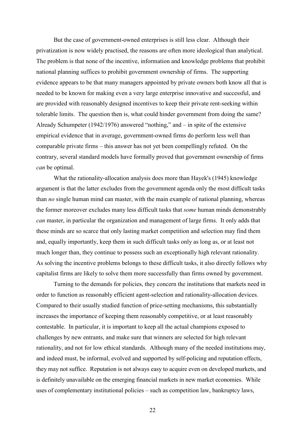But the case of government-owned enterprises is still less clear. Although their privatization is now widely practised, the reasons are often more ideological than analytical. The problem is that none of the incentive, information and knowledge problems that prohibit national planning suffices to prohibit government ownership of firms. The supporting evidence appears to be that many managers appointed by private owners both know all that is needed to be known for making even a very large enterprise innovative and successful, and are provided with reasonably designed incentives to keep their private rent-seeking within tolerable limits. The question then is, what could hinder government from doing the same? Already Schumpeter (1942/1976) answered "nothing," and  $-$  in spite of the extensive empirical evidence that in average, government-owned firms do perform less well than comparable private firms – this answer has not yet been compellingly refuted. On the contrary, several standard models have formally proved that government ownership of firms can be optimal.

What the rationality-allocation analysis does more than Hayek's (1945) knowledge argument is that the latter excludes from the government agenda only the most difficult tasks than no single human mind can master, with the main example of national planning, whereas the former moreover excludes many less difficult tasks that *some* human minds demonstrably can master, in particular the organization and management of large firms. It only adds that these minds are so scarce that only lasting market competition and selection may find them and, equally importantly, keep them in such difficult tasks only as long as, or at least not much longer than, they continue to possess such an exceptionally high relevant rationality. As solving the incentive problems belongs to these difficult tasks, it also directly follows why capitalist firms are likely to solve them more successfully than firms owned by government.

Turning to the demands for policies, they concern the institutions that markets need in order to function as reasonably efficient agent-selection and rationality-allocation devices. Compared to their usually studied function of price-setting mechanisms, this substantially increases the importance of keeping them reasonably competitive, or at least reasonably contestable. In particular, it is important to keep all the actual champions exposed to challenges by new entrants, and make sure that winners are selected for high relevant rationality, and not for low ethical standards. Although many of the needed institutions may, and indeed must, be informal, evolved and supported by self-policing and reputation effects, they may not suffice. Reputation is not always easy to acquire even on developed markets, and is definitely unavailable on the emerging financial markets in new market economies. While uses of complementary institutional policies – such as competition law, bankruptcy laws,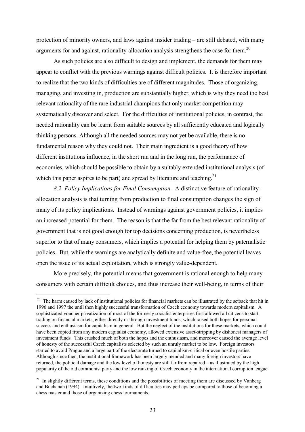protection of minority owners, and laws against insider trading – are still debated, with many arguments for and against, rationality-allocation analysis strengthens the case for them.<sup>20</sup>

As such policies are also difficult to design and implement, the demands for them may appear to conflict with the previous warnings against difficult policies. It is therefore important to realize that the two kinds of difficulties are of different magnitudes. Those of organizing, managing, and investing in, production are substantially higher, which is why they need the best relevant rationality of the rare industrial champions that only market competition may systematically discover and select. For the difficulties of institutional policies, in contrast, the needed rationality can be learnt from suitable sources by all sufficiently educated and logically thinking persons. Although all the needed sources may not yet be available, there is no fundamental reason why they could not. Their main ingredient is a good theory of how different institutions influence, in the short run and in the long run, the performance of economies, which should be possible to obtain by a suitably extended institutional analysis (of which this paper aspires to be part) and spread by literature and teaching.<sup>21</sup>

8.2 Policy Implications for Final Consumption. A distinctive feature of rationalityallocation analysis is that turning from production to final consumption changes the sign of many of its policy implications. Instead of warnings against government policies, it implies an increased potential for them. The reason is that the far from the best relevant rationality of government that is not good enough for top decisions concerning production, is nevertheless superior to that of many consumers, which implies a potential for helping them by paternalistic policies. But, while the warnings are analytically definite and value-free, the potential leaves open the issue of its actual exploitation, which is strongly value-dependent.

More precisely, the potential means that government is rational enough to help many consumers with certain difficult choices, and thus increase their well-being, in terms of their

<sup>&</sup>lt;sup>20</sup> The harm caused by lack of institutional policies for financial markets can be illustrated by the setback that hit in 1996 and 1997 the until then highly successful transformation of Czech economy towards modern capitalism. A sophisticated voucher privatization of most of the formerly socialist enterprises first allowed all citizens to start trading on financial markets, either directly or through investment funds, which raised both hopes for personal success and enthusiasm for capitalism in general. But the neglect of the institutions for these markets, which could have been copied from any modern capitalist economy, allowed extensive asset-stripping by dishonest managers of investment funds. This crushed much of both the hopes and the enthusiasm, and moreover caused the average level of honesty of the successful Czech capitalists selected by such an unruly market to be low. Foreign investors started to avoid Prague and a large part of the electorate turned to capitalism-critical or even hostile parties. Although since then, the institutional framework has been largely mended and many foreign investors have returned, the political damage and the low level of honesty are still far from repaired – as illustrated by the high popularity of the old communist party and the low ranking of Czech economy in the international corruption league.

 $^{21}$  In slightly different terms, these conditions and the possibilities of meeting them are discussed by Vanberg and Buchanan (1994). Intuitively, the two kinds of difficulties may perhaps be compared to those of becoming a chess master and those of organizing chess tournaments.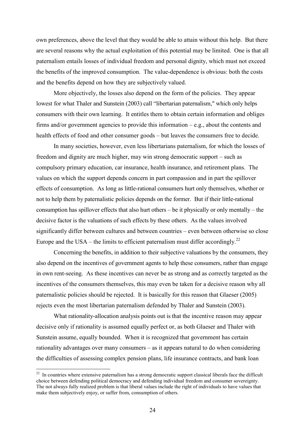own preferences, above the level that they would be able to attain without this help. But there are several reasons why the actual exploitation of this potential may be limited. One is that all paternalism entails losses of individual freedom and personal dignity, which must not exceed the benefits of the improved consumption. The value-dependence is obvious: both the costs and the benefits depend on how they are subjectively valued.

More objectively, the losses also depend on the form of the policies. They appear lowest for what Thaler and Sunstein (2003) call "libertarian paternalism," which only helps consumers with their own learning. It entitles them to obtain certain information and obliges firms and/or government agencies to provide this information – e.g., about the contents and health effects of food and other consumer goods – but leaves the consumers free to decide.

In many societies, however, even less libertarians paternalism, for which the losses of freedom and dignity are much higher, may win strong democratic support – such as compulsory primary education, car insurance, health insurance, and retirement plans. The values on which the support depends concern in part compassion and in part the spillover effects of consumption. As long as little-rational consumers hurt only themselves, whether or not to help them by paternalistic policies depends on the former. But if their little-rational consumption has spillover effects that also hurt others – be it physically or only mentally – the decisive factor is the valuations of such effects by these others. As the values involved significantly differ between cultures and between countries – even between otherwise so close Europe and the USA – the limits to efficient paternalism must differ accordingly.<sup>22</sup>

Concerning the benefits, in addition to their subjective valuations by the consumers, they also depend on the incentives of government agents to help these consumers, rather than engage in own rent-seeing. As these incentives can never be as strong and as correctly targeted as the incentives of the consumers themselves, this may even be taken for a decisive reason why all paternalistic policies should be rejected. It is basically for this reason that Glaeser  $(2005)$ rejects even the most libertarian paternalism defended by Thaler and Sunstein (2003).

What rationality-allocation analysis points out is that the incentive reason may appear decisive only if rationality is assumed equally perfect or, as both Glaeser and Thaler with Sunstein assume, equally bounded. When it is recognized that government has certain rationality advantages over many consumers – as it appears natural to do when considering the difficulties of assessing complex pension plans, life insurance contracts, and bank loan

 $22$  In countries where extensive paternalism has a strong democratic support classical liberals face the difficult choice between defending political democracy and defending individual freedom and consumer sovereignty. The not always fully realized problem is that liberal values include the right of individuals to have values that make them subjectively enjoy, or suffer from, consumption of others.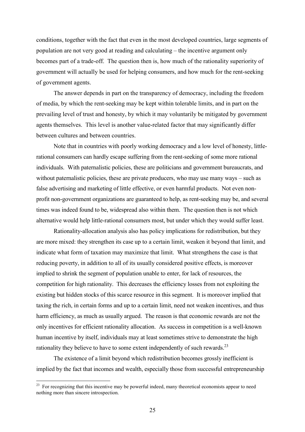conditions, together with the fact that even in the most developed countries, large segments of population are not very good at reading and calculating – the incentive argument only becomes part of a trade-off. The question then is, how much of the rationality superiority of government will actually be used for helping consumers, and how much for the rent-seeking of government agents.

The answer depends in part on the transparency of democracy, including the freedom of media, by which the rent-seeking may be kept within tolerable limits, and in part on the prevailing level of trust and honesty, by which it may voluntarily be mitigated by government agents themselves. This level is another value-related factor that may significantly differ between cultures and between countries.

Note that in countries with poorly working democracy and a low level of honesty, littlerational consumers can hardly escape suffering from the rent-seeking of some more rational individuals. With paternalistic policies, these are politicians and government bureaucrats, and without paternalistic policies, these are private producers, who may use many ways – such as false advertising and marketing of little effective, or even harmful products. Not even nonprofit non-government organizations are guaranteed to help, as rent-seeking may be, and several times was indeed found to be, widespread also within them. The question then is not which alternative would help little-rational consumers most, but under which they would suffer least.

Rationality-allocation analysis also has policy implications for redistribution, but they are more mixed: they strengthen its case up to a certain limit, weaken it beyond that limit, and indicate what form of taxation may maximize that limit. What strengthens the case is that reducing poverty, in addition to all of its usually considered positive effects, is moreover implied to shrink the segment of population unable to enter, for lack of resources, the competition for high rationality. This decreases the efficiency losses from not exploiting the existing but hidden stocks of this scarce resource in this segment. It is moreover implied that taxing the rich, in certain forms and up to a certain limit, need not weaken incentives, and thus harm efficiency, as much as usually argued. The reason is that economic rewards are not the only incentives for efficient rationality allocation. As success in competition is a well-known human incentive by itself, individuals may at least sometimes strive to demonstrate the high rationality they believe to have to some extent independently of such rewards.<sup>23</sup>

The existence of a limit beyond which redistribution becomes grossly inefficient is implied by the fact that incomes and wealth, especially those from successful entrepreneurship

<sup>&</sup>lt;sup>23</sup> For recognizing that this incentive may be powerful indeed, many theoretical economists appear to need nothing more than sincere introspection.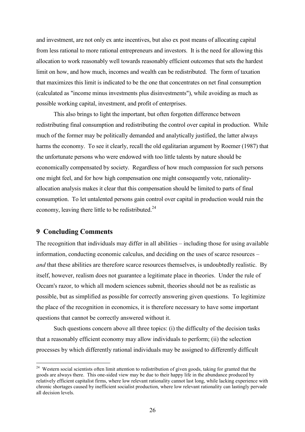and investment, are not only ex ante incentives, but also ex post means of allocating capital from less rational to more rational entrepreneurs and investors. It is the need for allowing this allocation to work reasonably well towards reasonably efficient outcomes that sets the hardest limit on how, and how much, incomes and wealth can be redistributed. The form of taxation that maximizes this limit is indicated to be the one that concentrates on net final consumption (calculated as "income minus investments plus disinvestments"), while avoiding as much as possible working capital, investment, and profit of enterprises.

This also brings to light the important, but often forgotten difference between redistributing final consumption and redistributing the control over capital in production. While much of the former may be politically demanded and analytically justified, the latter always harms the economy. To see it clearly, recall the old egalitarian argument by Roemer (1987) that the unfortunate persons who were endowed with too little talents by nature should be economically compensated by society. Regardless of how much compassion for such persons one might feel, and for how high compensation one might consequently vote, rationalityallocation analysis makes it clear that this compensation should be limited to parts of final consumption. To let untalented persons gain control over capital in production would ruin the economy, leaving there little to be redistributed.<sup>24</sup>

# **9 Concluding Comments**

The recognition that individuals may differ in all abilities  $-$  including those for using available information, conducting economic calculus, and deciding on the uses of scarce resources – and that these abilities are therefore scarce resources themselves, is undoubtedly realistic. By itself, however, realism does not guarantee a legitimate place in theories. Under the rule of Occam's razor, to which all modern sciences submit, theories should not be as realistic as possible, but as simplified as possible for correctly answering given questions. To legitimize the place of the recognition in economics, it is therefore necessary to have some important questions that cannot be correctly answered without it.

Such questions concern above all three topics:  $(i)$  the difficulty of the decision tasks that a reasonably efficient economy may allow individuals to perform; (ii) the selection processes by which differently rational individuals may be assigned to differently difficult

<sup>&</sup>lt;sup>24</sup> Western social scientists often limit attention to redistribution of given goods, taking for granted that the goods are always there. This one-sided view may be due to their happy life in the abundance produced by relatively efficient capitalist firms, where low relevant rationality cannot last long, while lacking experience with chronic shortages caused by inefficient socialist production, where low relevant rationality can lastingly pervade all decision levels.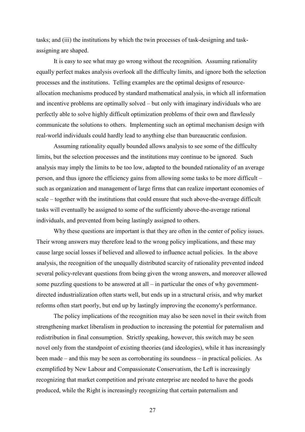tasks; and (iii) the institutions by which the twin processes of task-designing and taskassigning are shaped.

It is easy to see what may go wrong without the recognition. Assuming rationality equally perfect makes analysis overlook all the difficulty limits, and ignore both the selection processes and the institutions. Telling examples are the optimal designs of resourceallocation mechanisms produced by standard mathematical analysis, in which all information and incentive problems are optimally solved – but only with imaginary individuals who are perfectly able to solve highly difficult optimization problems of their own and flawlessly communicate the solutions to others. Implementing such an optimal mechanism design with real-world individuals could hardly lead to anything else than bureaucratic confusion.

Assuming rationality equally bounded allows analysis to see some of the difficulty limits, but the selection processes and the institutions may continue to be ignored. Such analysis may imply the limits to be too low, adapted to the bounded rationality of an average person, and thus ignore the efficiency gains from allowing some tasks to be more difficult – such as organization and management of large firms that can realize important economies of scale – together with the institutions that could ensure that such above-the-average difficult tasks will eventually be assigned to some of the sufficiently above-the-average rational individuals, and prevented from being lastingly assigned to others.

Why these questions are important is that they are often in the center of policy issues. Their wrong answers may therefore lead to the wrong policy implications, and these may cause large social losses if believed and allowed to influence actual policies. In the above analysis, the recognition of the unequally distributed scarcity of rationality prevented indeed several policy-relevant questions from being given the wrong answers, and moreover allowed some puzzling questions to be answered at all – in particular the ones of why governmentdirected industrialization often starts well, but ends up in a structural crisis, and why market reforms often start poorly, but end up by lastingly improving the economy's performance.

The policy implications of the recognition may also be seen novel in their switch from strengthening market liberalism in production to increasing the potential for paternalism and redistribution in final consumption. Strictly speaking, however, this switch may be seen novel only from the standpoint of existing theories (and ideologies), while it has increasingly been made – and this may be seen as corroborating its soundness – in practical policies. As exemplified by New Labour and Compassionate Conservatism, the Left is increasingly recognizing that market competition and private enterprise are needed to have the goods produced, while the Right is increasingly recognizing that certain paternalism and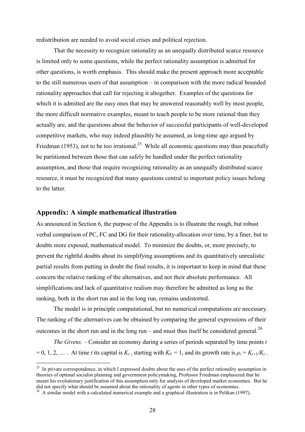redistribution are needed to avoid social crises and political rejection.

That the necessity to recognize rationality as an unequally distributed scarce resource is limited only to some questions, while the perfect rationality assumption is admitted for other questions, is worth emphasis. This should make the present approach more acceptable to the still numerous users of that assumption – in comparison with the more radical bounded rationality approaches that call for rejecting it altogether. Examples of the questions for which it is admitted are the easy ones that may be answered reasonably well by most people, the more difficult normative examples, meant to teach people to be more rational than they actually are, and the questions about the behavior of successful participants of well-developed competitive markets, who may indeed plausibly be assumed, as long-time ago argued by Friedman (1953), not to be too irrational.<sup>25</sup> While all economic questions may thus peacefully be partitioned between those that can safely be handled under the perfect rationality assumption, and those that require recognizing rationality as an unequally distributed scarce resource, it must be recognized that many questions central to important policy issues belong to the latter

# Appendix: A simple mathematical illustration

As announced in Section 6, the purpose of the Appendix is to illustrate the rough, but robust verbal comparison of PC, FC and DG for their rationality-allocation over time, by a finer, but to doubts more exposed, mathematical model. To minimize the doubts, or, more precisely, to prevent the rightful doubts about its simplifying assumptions and its quantitatively unrealistic partial results from putting in doubt the final results, it is important to keep in mind that these concern the relative ranking of the alternatives, and not their absolute performance. All simplifications and lack of quantitative realism may therefore be admitted as long as the ranking, both in the short run and in the long run, remains undistorted.

The model is in principle computational, but no numerical computations are necessary. The ranking of the alternatives can be obtained by comparing the general expressions of their outcomes in the short run and in the long run – and must thus itself be considered general.<sup>26</sup>

*The Givens.* – Consider an economy during a series of periods separated by time points  $t$  $= 0, 1, 2, \dots$ . At time t its capital is  $K_t$ , starting with  $K_0 = 1$ , and its growth rate is  $\rho_t = K_{t+1}/K_t$ .

<sup>&</sup>lt;sup>25</sup> In private correspondence, in which I expressed doubts about the uses of the perfect rationality assumption in theories of optimal socialist planning and government policymaking. Professor Friedman emphasized that he meant his evolutionary justification of this assumption only for analysis of developed market economies. But he did not specify what should be assumed about the rationality of agents in other types of economies.

<sup>&</sup>lt;sup>26</sup> A similar model with a calculated numerical example and a graphical illustration is in Pelikan (1997).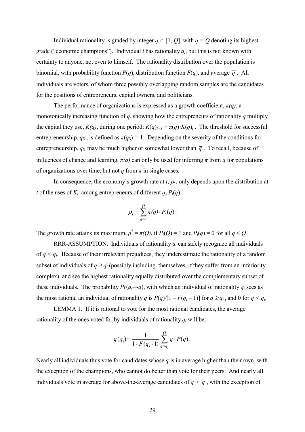Individual rationality is graded by integer  $q \in [1, Q]$ , with  $q = Q$  denoting its highest grade ("economic champions"). Individual *i* has rationality  $q_i$ , but this is not known with certainty to anyone, not even to himself. The rationality distribution over the population is binomial, with probability function  $P(q)$ , distribution function  $F(q)$ , and average  $\overline{q}$ . All individuals are voters, of whom three possibly overlapping random samples are the candidates for the positions of entrepreneurs, capital owners, and politicians.

The performance of organizations is expressed as a growth coefficient,  $\pi(q)$ , a monotonically increasing function of q, showing how the entrepreneurs of rationality q multiply the capital they use,  $K(q)$ , during one period:  $K(q)_{t+1} = \pi(q)K(q)_t$ . The threshold for successful entrepreneurship,  $q_S$ , is defined as  $\pi(q_S)=1$ . Depending on the severity of the conditions for entrepreneurship,  $q_S$  may be much higher or somewhat lower than  $\bar{q}$ . To recall, because of influences of chance and learning,  $\pi(q)$  can only be used for inferring  $\pi$  from q for populations of organizations over time, but not q from  $\pi$  in single cases.

In consequence, the economy's growth rate at t,  $\rho_t$ , only depends upon the distribution at t of the uses of  $K_t$  among entrepreneurs of different q,  $P_t(q)$ :

$$
\rho_t = \sum_{q=1}^Q \pi(q) \cdot P_t(q).
$$

The growth rate attains its maximum,  $\rho^* = \pi(Q)$ , if  $P_t(Q) = 1$  and  $P_t(q) = 0$  for all  $q < Q$ .

RRR-ASSUMPTION. Individuals of rationality  $q_i$  can safely recognize all individuals of  $q \leq q_i$ . Because of their irrelevant prejudices, they underestimate the rationality of a random subset of individuals of  $q \geq q_i$  (possibly including themselves, if they suffer from an inferiority complex), and see the highest rationality equally distributed over the complementary subset of these individuals. The probability  $Pr(q_i \rightarrow q)$ , with which an individual of rationality  $q_i$  sees as the most rational an individual of rationality q is  $P(q)/[1 - F(q_i - 1)]$  for  $q \geq q_i$ , and 0 for  $q \leq q_i$ .

LEMMA 1. If it is rational to vote for the most rational candidates, the average rationality of the ones voted for by individuals of rationality  $q_i$  will be:

$$
\overline{q}(q_i) = \frac{1}{1 - F(q_i - 1)} \sum_{q=q_i}^{Q} q \cdot P(q).
$$

Nearly all individuals thus vote for candidates whose  $q$  is in average higher than their own, with the exception of the champions, who cannot do better than vote for their peers. And nearly all individuals vote in average for above-the-average candidates of  $q > \bar{q}$ , with the exception of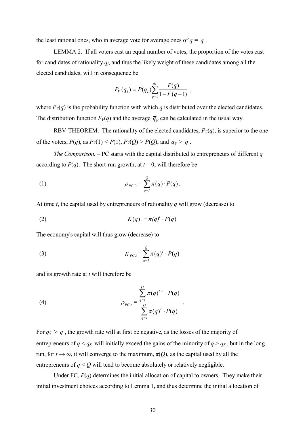the least rational ones, who in average vote for average ones of  $q = \overline{q}$ .

LEMMA 2. If all voters cast an equal number of votes, the proportion of the votes cast for candidates of rationality  $q_i$ , and thus the likely weight of these candidates among all the elected candidates, will in consequence be

$$
P_V(q_i) = P(q_i) \sum_{q=1}^{q_i} \frac{P(q)}{1 - F(q - 1)},
$$

where  $P_V(q)$  is the probability function with which q is distributed over the elected candidates. The distribution function  $F_V(q)$  and the average  $\overline{q}_V$  can be calculated in the usual way.

RBV-THEOREM. The rationality of the elected candidates,  $P_{V}(q)$ , is superior to the one of the voters,  $P(q)$ , as  $P_V(1) < P(1)$ ,  $P_V(Q) > P(Q)$ , and  $\overline{q}_V > \overline{q}$ .

*The Comparison.* – PC starts with the capital distributed to entrepreneurs of different  $q$ according to  $P(q)$ . The short-run growth, at  $t = 0$ , will therefore be

(1) 
$$
\rho_{PC,0} = \sum_{q=1}^{Q} \pi(q) \cdot P(q).
$$

At time  $t$ , the capital used by entrepreneurs of rationality  $q$  will grow (decrease) to

$$
(2) \t K(q)_t = \pi(q)^t \cdot P(q)
$$

The economy's capital will thus grow (decrease) to

$$
(3) \t K_{PC,t} = \sum_{q=1}^{Q} \pi(q)^t \cdot P(q)
$$

and its growth rate at  $t$  will therefore be

(4) 
$$
\rho_{PC,t} = \frac{\sum_{q=1}^{Q} \pi(q)^{t+1} \cdot P(q)}{\sum_{q=1}^{Q} \pi(q)^{t} \cdot P(q)}
$$

For  $q_s > \overline{q}$ , the growth rate will at first be negative, as the losses of the majority of entrepreneurs of  $q < q_s$  will initially exceed the gains of the minority of  $q > q_s$ , but in the long run, for  $t \to \infty$ , it will converge to the maximum,  $\pi(0)$ , as the capital used by all the entrepreneurs of  $q < Q$  will tend to become absolutely or relatively negligible.

Under FC,  $P(q)$  determines the initial allocation of capital to owners. They make their initial investment choices according to Lemma 1, and thus determine the initial allocation of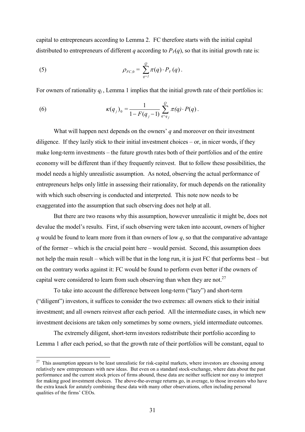capital to entrepreneurs according to Lemma 2. FC therefore starts with the initial capital distributed to entrepreneurs of different q according to  $P<sub>V</sub>(q)$ , so that its initial growth rate is:

(5) 
$$
\rho_{FC,0} = \sum_{q=1}^{Q} \pi(q) \cdot P_V(q).
$$

For owners of rationality  $q_i$ , Lemma 1 implies that the initial growth rate of their portfolios is:

(6) 
$$
\kappa(q_j)_0 = \frac{1}{1 - F(q_j - 1)} \sum_{q = q_j}^{Q} \pi(q) \cdot P(q).
$$

What will happen next depends on the owners'  $q$  and moreover on their investment diligence. If they lazily stick to their initial investment choices  $-$  or, in nicer words, if they make long-term investments – the future growth rates both of their portfolios and of the entire economy will be different than if they frequently reinvest. But to follow these possibilities, the model needs a highly unrealistic assumption. As noted, observing the actual performance of entrepreneurs helps only little in assessing their rationality, for much depends on the rationality with which such observing is conducted and interpreted. This note now needs to be exaggerated into the assumption that such observing does not help at all.

But there are two reasons why this assumption, however unrealistic it might be, does not devalue the model's results. First, if such observing were taken into account, owners of higher q would be found to learn more from it than owners of low  $q$ , so that the comparative advantage of the former – which is the crucial point here – would persist. Second, this assumption does not help the main result – which will be that in the long run, it is just FC that performs best – but on the contrary works against it: FC would be found to perform even better if the owners of capital were considered to learn from such observing than when they are not.<sup>27</sup>

To take into account the difference between long-term ("lazy") and short-term ("diligent") investors, it suffices to consider the two extremes: all owners stick to their initial investment; and all owners reinvest after each period. All the intermediate cases, in which new investment decisions are taken only sometimes by some owners, yield intermediate outcomes.

The extremely diligent, short-term investors redistribute their portfolio according to Lemma 1 after each period, so that the growth rate of their portfolios will be constant, equal to

 $27$  This assumption appears to be least unrealistic for risk-capital markets, where investors are choosing among relatively new entrepreneurs with new ideas. But even on a standard stock-exchange, where data about the past performance and the current stock prices of firms abound, these data are neither sufficient nor easy to interpret for making good investment choices. The above-the-average returns go, in average, to those investors who have the extra knack for asturely combining these data with many other observations, often including personal qualities of the firms' CEOs.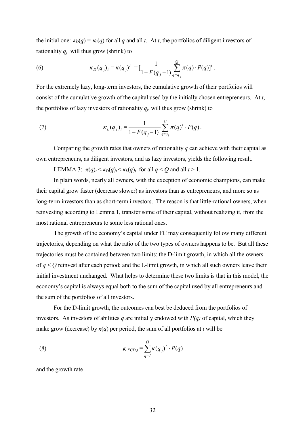the initial one:  $\kappa_D(q) = \kappa_0(q)$  for all q and all t. At t, the portfolios of diligent investors of rationality  $q_j$  will thus grow (shrink) to

(6) 
$$
\kappa_D(q_j)_t = \kappa(q_j)^t = \left[\frac{1}{1 - F(q_j - 1)} \sum_{q = q_j}^{Q} \pi(q) \cdot P(q)\right]^t.
$$

For the extremely lazy, long-term investors, the cumulative growth of their portfolios will consist of the cumulative growth of the capital used by the initially chosen entrepreneurs. At  $t$ , the portfolios of lazy investors of rationality  $q_j$ , will thus grow (shrink) to

(7) 
$$
\kappa_L(q_j)_t = \frac{1}{1 - F(q_j - 1)} \sum_{q = q_i}^{Q} \pi(q)^t \cdot P(q).
$$

Comparing the growth rates that owners of rationality  $q$  can achieve with their capital as own entrepreneurs, as diligent investors, and as lazy investors, yields the following result.

LEMMA 3:  $\pi(q)_t < \kappa_D(q)_t < \kappa_L(q)_t$  for all  $q < Q$  and all  $t > 1$ .

In plain words, nearly all owners, with the exception of economic champions, can make their capital grow faster (decrease slower) as investors than as entrepreneurs, and more so as long-term investors than as short-term investors. The reason is that little-rational owners, when reinvesting according to Lemma 1, transfer some of their capital, without realizing it, from the most rational entrepreneurs to some less rational ones.

The growth of the economy's capital under FC may consequently follow many different trajectories, depending on what the ratio of the two types of owners happens to be. But all these trajectories must be contained between two limits: the D-limit growth, in which all the owners of  $q < Q$  reinvest after each period; and the L-limit growth, in which all such owners leave their initial investment unchanged. What helps to determine these two limits is that in this model, the economy's capital is always equal both to the sum of the capital used by all entrepreneurs and the sum of the portfolios of all investors.

For the D-limit growth, the outcomes can best be deduced from the portfolios of investors. As investors of abilities q are initially endowed with  $P(q)$  of capital, which they make grow (decrease) by  $\kappa(q)$  per period, the sum of all portfolios at t will be

(8) 
$$
K_{FCD,t} = \sum_{q=1}^{Q} \kappa(q_j)^t \cdot P(q)
$$

and the growth rate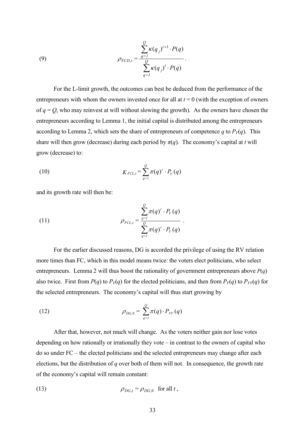(9) 
$$
\rho_{FCD,t} = \frac{\sum_{q=1}^{Q} \kappa(q_j)^{t+1} \cdot P(q)}{\sum_{q=1}^{Q} \kappa(q_j)^{t} \cdot P(q)}
$$

For the L-limit growth, the outcomes can best be deduced from the performance of the entrepreneurs with whom the owners invested once for all at  $t = 0$  (with the exception of owners of  $q = Q$ , who may reinvest at will without slowing the growth). As the owners have chosen the entrepreneurs according to Lemma 1, the initial capital is distributed among the entrepreneurs according to Lemma 2, which sets the share of entrepreneurs of competence q to  $P_V(q)$ . This share will then grow (decrease) during each period by  $\pi(q)$ . The economy's capital at t will grow (decrease) to:

$$
(10) \t K_{FCL,t} = \sum_{q=1}^{Q} \pi(q)^{t} \cdot P_V(q)
$$

and its growth rate will then be:

(11) 
$$
\rho_{FCL,t} = \frac{\sum_{q=1}^{Q} \pi(q)^{t} \cdot P_V(q)}{\sum_{q=1}^{Q} \pi(q)^{t} \cdot P_V(q)}
$$

For the earlier discussed reasons, DG is accorded the privilege of using the RV relation more times than FC, which in this model means twice: the voters elect politicians, who select entrepreneurs. Lemma 2 will thus boost the rationality of government entrepreneurs above  $P(q)$ also twice. First from  $P(q)$  to  $P_V(q)$  for the elected politicians, and then from  $P_V(q)$  to  $P_V(q)$  for the selected entrepreneurs. The economy's capital will thus start growing by

(12) 
$$
\rho_{DG,0} = \sum_{q=1}^{Q} \pi(q) \cdot P_{VV}(q)
$$

After that, however, not much will change. As the voters neither gain nor lose votes depending on how rationally or irrationally they vote  $-$  in contrast to the owners of capital who  $\alpha$  do so under FC – the elected politicians and the selected entrepreneurs may change after each elections, but the distribution of  $q$  over both of them will not. In consequence, the growth rate of the economy's capital will remain constant:

(13) 
$$
\rho_{DG,t} = \rho_{DG,0} \text{ for all } t,
$$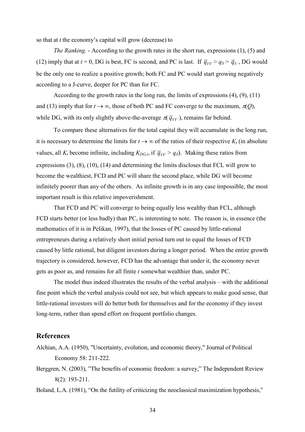so that at  $t$  the economy's capital will grow (decrease) to

*The Ranking.* - According to the growth rates in the short run, expressions (1), (5) and (12) imply that at  $t = 0$ , DG is best, FC is second, and PC is last. If  $\overline{q}_{VV} > q_S > \overline{q}_V$ , DG would be the only one to realize a positive growth; both FC and PC would start growing negatively according to a J-curve, deeper for PC than for FC.

According to the growth rates in the long run, the limits of expressions  $(4)$ ,  $(9)$ ,  $(11)$ and (13) imply that for  $t \to \infty$ , those of both PC and FC converge to the maximum,  $\pi(0)$ , while DG, with its only slightly above-the-average  $\pi(\bar{q}_{VV})$ , remains far behind.

To compare these alternatives for the total capital they will accumulate in the long run, it is necessary to determine the limits for  $t \to \infty$  of the ratios of their respective  $K_t$  (in absolute values, all  $K_t$  become infinite, including  $K_{DG,t}$ , if  $\overline{q}_{VV} > q_s$ ). Making these ratios from expressions  $(3)$ ,  $(8)$ ,  $(10)$ ,  $(14)$  and determining the limits discloses that FCL will grow to become the wealthiest, FCD and PC will share the second place, while DG will become infinitely poorer than any of the others. As infinite growth is in any case impossible, the most important result is this relative impoverishment.

That FCD and PC will converge to being equally less wealthy than FCL, although FCD starts better (or less badly) than PC, is interesting to note. The reason is, in essence (the mathematics of it is in Pelikan, 1997), that the losses of PC caused by little-rational entrepreneurs during a relatively short initial period turn out to equal the losses of FCD caused by little rational, but diligent investors during a longer period. When the entire growth trajectory is considered, however, FCD has the advantage that under it, the economy never gets as poor as, and remains for all finite t somewhat wealthier than, under PC.

The model thus indeed illustrates the results of the verbal analysis – with the additional fine point which the verbal analysis could not see, but which appears to make good sense, that little-rational investors will do better both for themselves and for the economy if they invest long-term, rather than spend effort on frequent portfolio changes.

## **References**

- Alchian, A.A. (1950), "Uncertainty, evolution, and economic theory," Journal of Political Economy 58: 211-222.
- Berggren, N. (2003), "The benefits of economic freedom: a survey," The Independent Review  $8(2)$ : 193-211.

Boland, L.A. (1981), "On the futility of criticizing the neoclassical maximization hypothesis,"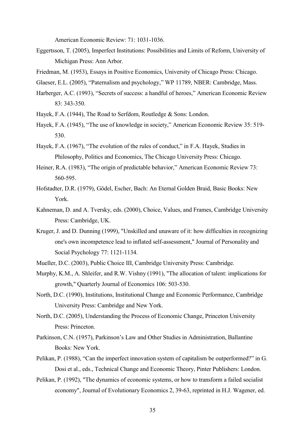American Economic Review: 71: 1031-1036.

- Eggertsson, T. (2005), Imperfect Institutions: Possibilities and Limits of Reform, University of Michigan Press: Ann Arbor.
- Friedman, M. (1953), Essays in Positive Economics, University of Chicago Press: Chicago.
- Glaeser, E.L. (2005), "Paternalism and psychology," WP 11789, NBER: Cambridge, Mass.
- Harberger, A.C. (1993), "Secrets of success: a handful of heroes," American Economic Review 83: 343-350.
- Hayek, F.A. (1944), The Road to Serfdom, Routledge & Sons: London.
- Hayek, F.A. (1945), "The use of knowledge in society," American Economic Review 35: 519-530.
- Hayek, F.A. (1967), "The evolution of the rules of conduct," in F.A. Hayek, Studies in Philosophy, Politics and Economics, The Chicago University Press: Chicago.
- Heiner, R.A. (1983), "The origin of predictable behavior," American Economic Review 73:  $560 - 595$ .
- Hofstadter, D.R. (1979), Gödel, Escher, Bach: An Eternal Golden Braid, Basic Books: New York.
- Kahneman, D. and A. Tversky, eds. (2000), Choice, Values, and Frames, Cambridge University Press: Cambridge, UK.
- Kruger, J. and D. Dunning (1999), "Unskilled and unaware of it: how difficulties in recognizing one's own incompetence lead to inflated self-assessment," Journal of Personality and Social Psychology 77: 1121-1134.
- Mueller, D.C. (2003), Public Choice III, Cambridge University Press: Cambridge.
- Murphy, K.M., A. Shleifer, and R.W. Vishny (1991), "The allocation of talent: implications for growth," Quarterly Journal of Economics 106: 503-530.
- North, D.C. (1990), Institutions, Institutional Change and Economic Performance, Cambridge University Press: Cambridge and New York.
- North, D.C. (2005), Understanding the Process of Economic Change, Princeton University Press: Princeton.
- Parkinson, C.N. (1957), Parkinson's Law and Other Studies in Administration, Ballantine Books: New York.
- Pelikan, P. (1988), "Can the imperfect innovation system of capitalism be outperformed?" in G. Dosi et al., eds., Technical Change and Economic Theory, Pinter Publishers: London.
- Pelikan, P. (1992), "The dynamics of economic systems, or how to transform a failed socialist economy", Journal of Evolutionary Economics 2, 39-63, reprinted in H.J. Wagener, ed.